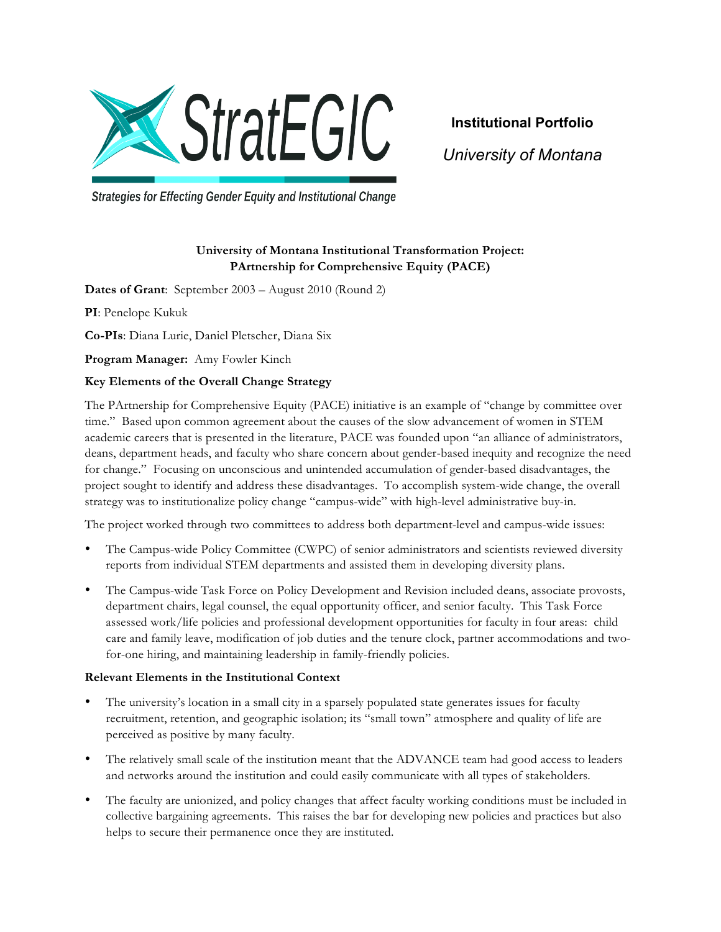

**Institutional Portfolio** *University of Montana*

**Strategies for Effecting Gender Equity and Institutional Change** 

# **University of Montana Institutional Transformation Project: PArtnership for Comprehensive Equity (PACE)**

**Dates of Grant**: September 2003 – August 2010 (Round 2)

**PI**: Penelope Kukuk

**Co-PIs**: Diana Lurie, Daniel Pletscher, Diana Six

**Program Manager:** Amy Fowler Kinch

## **Key Elements of the Overall Change Strategy**

The PArtnership for Comprehensive Equity (PACE) initiative is an example of "change by committee over time." Based upon common agreement about the causes of the slow advancement of women in STEM academic careers that is presented in the literature, PACE was founded upon "an alliance of administrators, deans, department heads, and faculty who share concern about gender-based inequity and recognize the need for change." Focusing on unconscious and unintended accumulation of gender-based disadvantages, the project sought to identify and address these disadvantages. To accomplish system-wide change, the overall strategy was to institutionalize policy change "campus-wide" with high-level administrative buy-in.

The project worked through two committees to address both department-level and campus-wide issues:

- The Campus-wide Policy Committee (CWPC) of senior administrators and scientists reviewed diversity reports from individual STEM departments and assisted them in developing diversity plans.
- The Campus-wide Task Force on Policy Development and Revision included deans, associate provosts, department chairs, legal counsel, the equal opportunity officer, and senior faculty. This Task Force assessed work/life policies and professional development opportunities for faculty in four areas: child care and family leave, modification of job duties and the tenure clock, partner accommodations and twofor-one hiring, and maintaining leadership in family-friendly policies.

## **Relevant Elements in the Institutional Context**

- The university's location in a small city in a sparsely populated state generates issues for faculty recruitment, retention, and geographic isolation; its "small town" atmosphere and quality of life are perceived as positive by many faculty.
- The relatively small scale of the institution meant that the ADVANCE team had good access to leaders and networks around the institution and could easily communicate with all types of stakeholders.
- The faculty are unionized, and policy changes that affect faculty working conditions must be included in collective bargaining agreements. This raises the bar for developing new policies and practices but also helps to secure their permanence once they are instituted.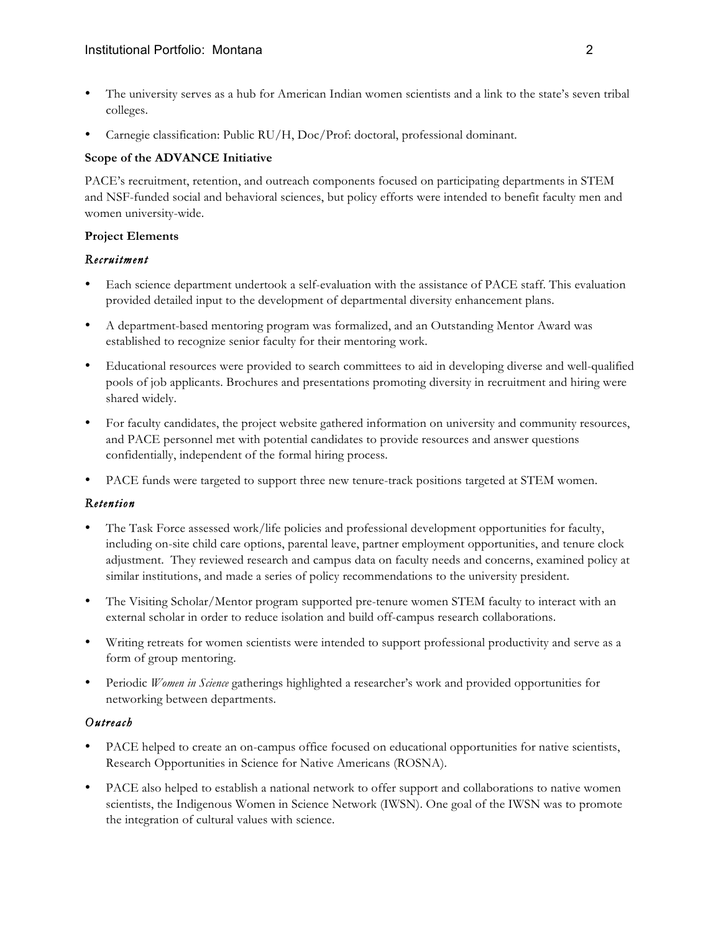- The university serves as a hub for American Indian women scientists and a link to the state's seven tribal colleges.
- Carnegie classification: Public RU/H, Doc/Prof: doctoral, professional dominant.

#### **Scope of the ADVANCE Initiative**

PACE's recruitment, retention, and outreach components focused on participating departments in STEM and NSF-funded social and behavioral sciences, but policy efforts were intended to benefit faculty men and women university-wide.

#### **Project Elements**

## *Recruitment*

- Each science department undertook a self-evaluation with the assistance of PACE staff. This evaluation provided detailed input to the development of departmental diversity enhancement plans.
- A department-based mentoring program was formalized, and an Outstanding Mentor Award was established to recognize senior faculty for their mentoring work.
- Educational resources were provided to search committees to aid in developing diverse and well-qualified pools of job applicants. Brochures and presentations promoting diversity in recruitment and hiring were shared widely.
- For faculty candidates, the project website gathered information on university and community resources, and PACE personnel met with potential candidates to provide resources and answer questions confidentially, independent of the formal hiring process.
- PACE funds were targeted to support three new tenure-track positions targeted at STEM women.

## *Retention*

- The Task Force assessed work/life policies and professional development opportunities for faculty, including on-site child care options, parental leave, partner employment opportunities, and tenure clock adjustment. They reviewed research and campus data on faculty needs and concerns, examined policy at similar institutions, and made a series of policy recommendations to the university president.
- The Visiting Scholar/Mentor program supported pre-tenure women STEM faculty to interact with an external scholar in order to reduce isolation and build off-campus research collaborations.
- Writing retreats for women scientists were intended to support professional productivity and serve as a form of group mentoring.
- Periodic *Women in Science* gatherings highlighted a researcher's work and provided opportunities for networking between departments.

## *Outreach*

- PACE helped to create an on-campus office focused on educational opportunities for native scientists, Research Opportunities in Science for Native Americans (ROSNA).
- PACE also helped to establish a national network to offer support and collaborations to native women scientists, the Indigenous Women in Science Network (IWSN). One goal of the IWSN was to promote the integration of cultural values with science.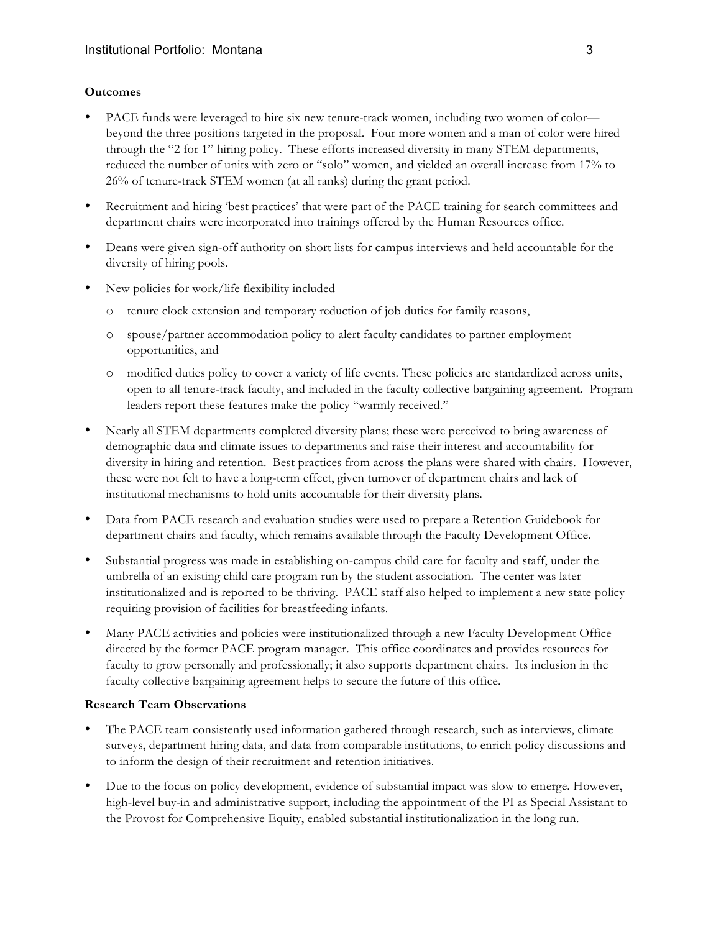#### **Outcomes**

- PACE funds were leveraged to hire six new tenure-track women, including two women of color beyond the three positions targeted in the proposal. Four more women and a man of color were hired through the "2 for 1" hiring policy. These efforts increased diversity in many STEM departments, reduced the number of units with zero or "solo" women, and yielded an overall increase from 17% to 26% of tenure-track STEM women (at all ranks) during the grant period.
- Recruitment and hiring 'best practices' that were part of the PACE training for search committees and department chairs were incorporated into trainings offered by the Human Resources office.
- Deans were given sign-off authority on short lists for campus interviews and held accountable for the diversity of hiring pools.
- New policies for work/life flexibility included
	- o tenure clock extension and temporary reduction of job duties for family reasons,
	- o spouse/partner accommodation policy to alert faculty candidates to partner employment opportunities, and
	- o modified duties policy to cover a variety of life events. These policies are standardized across units, open to all tenure-track faculty, and included in the faculty collective bargaining agreement. Program leaders report these features make the policy "warmly received."
- Nearly all STEM departments completed diversity plans; these were perceived to bring awareness of demographic data and climate issues to departments and raise their interest and accountability for diversity in hiring and retention. Best practices from across the plans were shared with chairs. However, these were not felt to have a long-term effect, given turnover of department chairs and lack of institutional mechanisms to hold units accountable for their diversity plans.
- Data from PACE research and evaluation studies were used to prepare a Retention Guidebook for department chairs and faculty, which remains available through the Faculty Development Office.
- Substantial progress was made in establishing on-campus child care for faculty and staff, under the umbrella of an existing child care program run by the student association. The center was later institutionalized and is reported to be thriving. PACE staff also helped to implement a new state policy requiring provision of facilities for breastfeeding infants.
- Many PACE activities and policies were institutionalized through a new Faculty Development Office directed by the former PACE program manager. This office coordinates and provides resources for faculty to grow personally and professionally; it also supports department chairs. Its inclusion in the faculty collective bargaining agreement helps to secure the future of this office.

## **Research Team Observations**

- The PACE team consistently used information gathered through research, such as interviews, climate surveys, department hiring data, and data from comparable institutions, to enrich policy discussions and to inform the design of their recruitment and retention initiatives.
- Due to the focus on policy development, evidence of substantial impact was slow to emerge. However, high-level buy-in and administrative support, including the appointment of the PI as Special Assistant to the Provost for Comprehensive Equity, enabled substantial institutionalization in the long run.